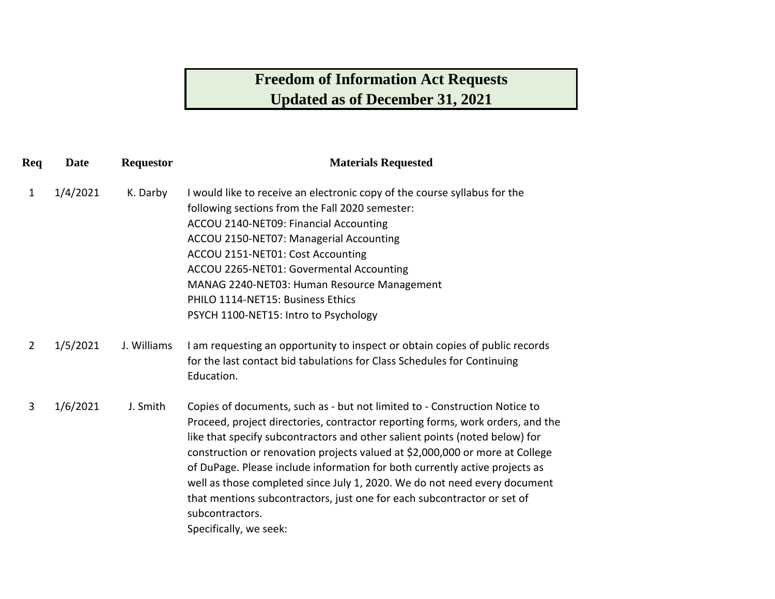## **Freedom of Information Act Requests Updated as of December 31, 2021**

| Req | <b>Date</b> | <b>Requestor</b> | <b>Materials Requested</b>                                                                                                                                                                                                                                                                                                                                                                                                                                                                                                                                                                                      |
|-----|-------------|------------------|-----------------------------------------------------------------------------------------------------------------------------------------------------------------------------------------------------------------------------------------------------------------------------------------------------------------------------------------------------------------------------------------------------------------------------------------------------------------------------------------------------------------------------------------------------------------------------------------------------------------|
| 1   | 1/4/2021    | K. Darby         | I would like to receive an electronic copy of the course syllabus for the                                                                                                                                                                                                                                                                                                                                                                                                                                                                                                                                       |
|     |             |                  | following sections from the Fall 2020 semester:                                                                                                                                                                                                                                                                                                                                                                                                                                                                                                                                                                 |
|     |             |                  | ACCOU 2140-NET09: Financial Accounting                                                                                                                                                                                                                                                                                                                                                                                                                                                                                                                                                                          |
|     |             |                  | ACCOU 2150-NET07: Managerial Accounting                                                                                                                                                                                                                                                                                                                                                                                                                                                                                                                                                                         |
|     |             |                  | ACCOU 2151-NET01: Cost Accounting                                                                                                                                                                                                                                                                                                                                                                                                                                                                                                                                                                               |
|     |             |                  | ACCOU 2265-NET01: Govermental Accounting                                                                                                                                                                                                                                                                                                                                                                                                                                                                                                                                                                        |
|     |             |                  | MANAG 2240-NET03: Human Resource Management                                                                                                                                                                                                                                                                                                                                                                                                                                                                                                                                                                     |
|     |             |                  | PHILO 1114-NET15: Business Ethics                                                                                                                                                                                                                                                                                                                                                                                                                                                                                                                                                                               |
|     |             |                  | PSYCH 1100-NET15: Intro to Psychology                                                                                                                                                                                                                                                                                                                                                                                                                                                                                                                                                                           |
| 2   | 1/5/2021    | J. Williams      | I am requesting an opportunity to inspect or obtain copies of public records<br>for the last contact bid tabulations for Class Schedules for Continuing<br>Education.                                                                                                                                                                                                                                                                                                                                                                                                                                           |
| 3   | 1/6/2021    | J. Smith         | Copies of documents, such as - but not limited to - Construction Notice to<br>Proceed, project directories, contractor reporting forms, work orders, and the<br>like that specify subcontractors and other salient points (noted below) for<br>construction or renovation projects valued at \$2,000,000 or more at College<br>of DuPage. Please include information for both currently active projects as<br>well as those completed since July 1, 2020. We do not need every document<br>that mentions subcontractors, just one for each subcontractor or set of<br>subcontractors.<br>Specifically, we seek: |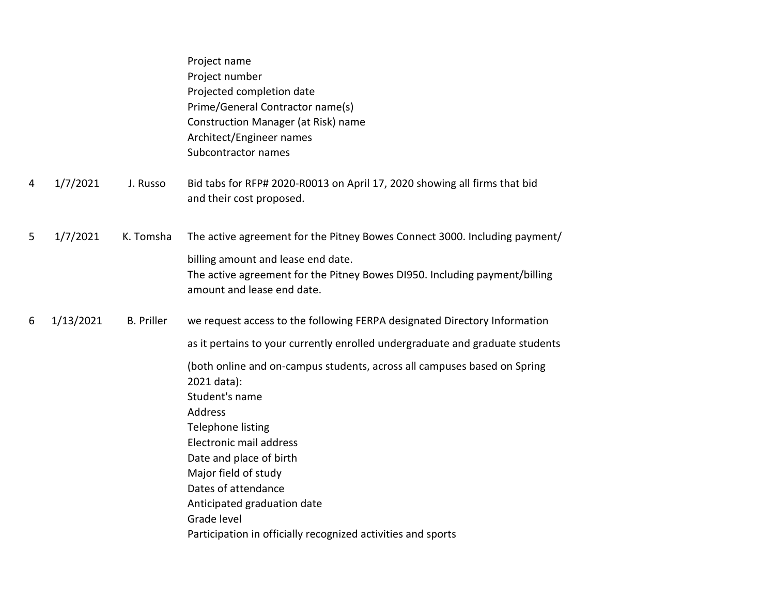| Bid tabs for RFP# 2020-R0013 on April 17, 2020 showing all firms that bid     |
|-------------------------------------------------------------------------------|
| The active agreement for the Pitney Bowes Connect 3000. Including payment/    |
|                                                                               |
| The active agreement for the Pitney Bowes DI950. Including payment/billing    |
|                                                                               |
| we request access to the following FERPA designated Directory Information     |
| as it pertains to your currently enrolled undergraduate and graduate students |
| (both online and on-campus students, across all campuses based on Spring      |
|                                                                               |
|                                                                               |
|                                                                               |
|                                                                               |
|                                                                               |
|                                                                               |
|                                                                               |
|                                                                               |
|                                                                               |
|                                                                               |
|                                                                               |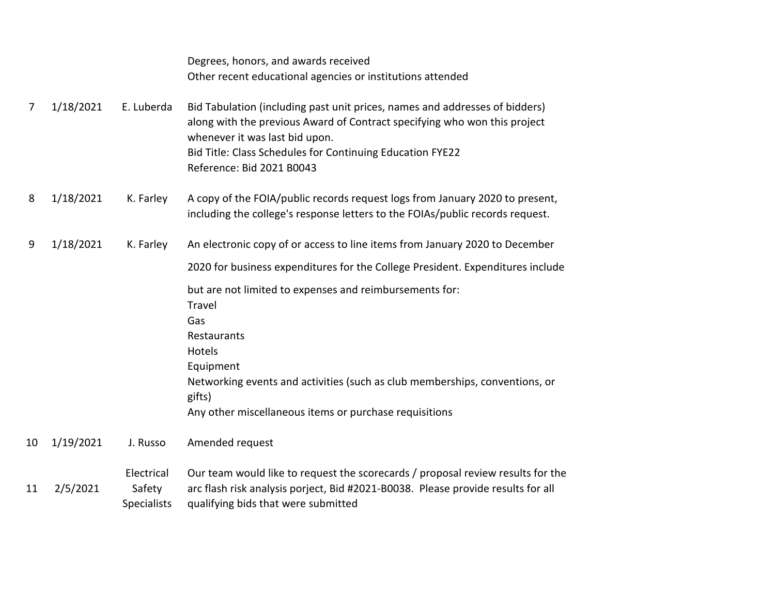|    |           |                                            | Degrees, honors, and awards received                                                                                                                                                                                                                                                 |
|----|-----------|--------------------------------------------|--------------------------------------------------------------------------------------------------------------------------------------------------------------------------------------------------------------------------------------------------------------------------------------|
|    |           |                                            | Other recent educational agencies or institutions attended                                                                                                                                                                                                                           |
| 7  | 1/18/2021 | E. Luberda                                 | Bid Tabulation (including past unit prices, names and addresses of bidders)<br>along with the previous Award of Contract specifying who won this project<br>whenever it was last bid upon.<br>Bid Title: Class Schedules for Continuing Education FYE22<br>Reference: Bid 2021 B0043 |
| 8  | 1/18/2021 | K. Farley                                  | A copy of the FOIA/public records request logs from January 2020 to present,<br>including the college's response letters to the FOIAs/public records request.                                                                                                                        |
| 9  | 1/18/2021 | K. Farley                                  | An electronic copy of or access to line items from January 2020 to December                                                                                                                                                                                                          |
|    |           |                                            | 2020 for business expenditures for the College President. Expenditures include                                                                                                                                                                                                       |
|    |           |                                            | but are not limited to expenses and reimbursements for:<br>Travel<br>Gas<br>Restaurants<br>Hotels<br>Equipment<br>Networking events and activities (such as club memberships, conventions, or<br>gifts)<br>Any other miscellaneous items or purchase requisitions                    |
| 10 | 1/19/2021 | J. Russo                                   | Amended request                                                                                                                                                                                                                                                                      |
| 11 | 2/5/2021  | Electrical<br>Safety<br><b>Specialists</b> | Our team would like to request the scorecards / proposal review results for the<br>arc flash risk analysis porject, Bid #2021-B0038. Please provide results for all<br>qualifying bids that were submitted                                                                           |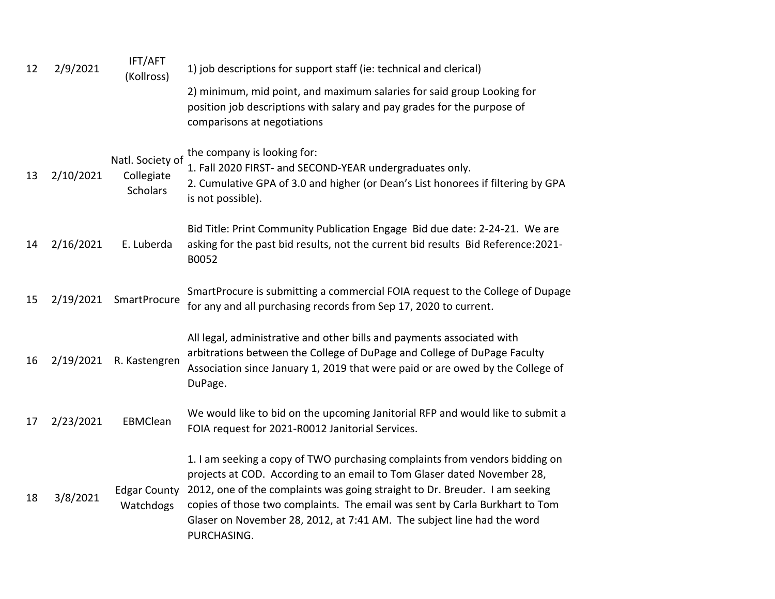| 12 | 2/9/2021  | IFT/AFT<br>(Kollross)                             | 1) job descriptions for support staff (ie: technical and clerical)                                                                                                                                                                                                                                                                                                                                            |
|----|-----------|---------------------------------------------------|---------------------------------------------------------------------------------------------------------------------------------------------------------------------------------------------------------------------------------------------------------------------------------------------------------------------------------------------------------------------------------------------------------------|
|    |           |                                                   | 2) minimum, mid point, and maximum salaries for said group Looking for<br>position job descriptions with salary and pay grades for the purpose of<br>comparisons at negotiations                                                                                                                                                                                                                              |
| 13 | 2/10/2021 | Natl. Society of<br>Collegiate<br><b>Scholars</b> | the company is looking for:<br>1. Fall 2020 FIRST- and SECOND-YEAR undergraduates only.<br>2. Cumulative GPA of 3.0 and higher (or Dean's List honorees if filtering by GPA<br>is not possible).                                                                                                                                                                                                              |
| 14 | 2/16/2021 | E. Luberda                                        | Bid Title: Print Community Publication Engage Bid due date: 2-24-21. We are<br>asking for the past bid results, not the current bid results Bid Reference: 2021-<br>B0052                                                                                                                                                                                                                                     |
| 15 | 2/19/2021 | <b>SmartProcure</b>                               | SmartProcure is submitting a commercial FOIA request to the College of Dupage<br>for any and all purchasing records from Sep 17, 2020 to current.                                                                                                                                                                                                                                                             |
| 16 | 2/19/2021 | R. Kastengren                                     | All legal, administrative and other bills and payments associated with<br>arbitrations between the College of DuPage and College of DuPage Faculty<br>Association since January 1, 2019 that were paid or are owed by the College of<br>DuPage.                                                                                                                                                               |
| 17 | 2/23/2021 | EBMClean                                          | We would like to bid on the upcoming Janitorial RFP and would like to submit a<br>FOIA request for 2021-R0012 Janitorial Services.                                                                                                                                                                                                                                                                            |
| 18 | 3/8/2021  | <b>Edgar County</b><br>Watchdogs                  | 1. I am seeking a copy of TWO purchasing complaints from vendors bidding on<br>projects at COD. According to an email to Tom Glaser dated November 28,<br>2012, one of the complaints was going straight to Dr. Breuder. I am seeking<br>copies of those two complaints. The email was sent by Carla Burkhart to Tom<br>Glaser on November 28, 2012, at 7:41 AM. The subject line had the word<br>PURCHASING. |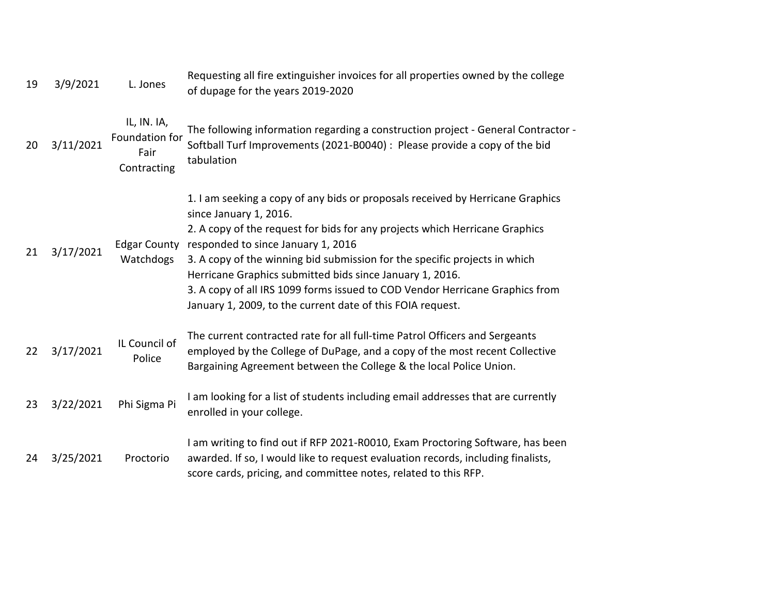| 19 | 3/9/2021  | L. Jones                                             | Requesting all fire extinguisher invoices for all properties owned by the college<br>of dupage for the years 2019-2020                                                                                                                                                                                                                                                                                                                                                                                                |
|----|-----------|------------------------------------------------------|-----------------------------------------------------------------------------------------------------------------------------------------------------------------------------------------------------------------------------------------------------------------------------------------------------------------------------------------------------------------------------------------------------------------------------------------------------------------------------------------------------------------------|
| 20 | 3/11/2021 | IL, IN. IA,<br>Foundation for<br>Fair<br>Contracting | The following information regarding a construction project - General Contractor -<br>Softball Turf Improvements (2021-B0040) : Please provide a copy of the bid<br>tabulation                                                                                                                                                                                                                                                                                                                                         |
| 21 | 3/17/2021 | <b>Edgar County</b><br>Watchdogs                     | 1. I am seeking a copy of any bids or proposals received by Herricane Graphics<br>since January 1, 2016.<br>2. A copy of the request for bids for any projects which Herricane Graphics<br>responded to since January 1, 2016<br>3. A copy of the winning bid submission for the specific projects in which<br>Herricane Graphics submitted bids since January 1, 2016.<br>3. A copy of all IRS 1099 forms issued to COD Vendor Herricane Graphics from<br>January 1, 2009, to the current date of this FOIA request. |
| 22 | 3/17/2021 | IL Council of<br>Police                              | The current contracted rate for all full-time Patrol Officers and Sergeants<br>employed by the College of DuPage, and a copy of the most recent Collective<br>Bargaining Agreement between the College & the local Police Union.                                                                                                                                                                                                                                                                                      |
| 23 | 3/22/2021 | Phi Sigma Pi                                         | I am looking for a list of students including email addresses that are currently<br>enrolled in your college.                                                                                                                                                                                                                                                                                                                                                                                                         |
| 24 | 3/25/2021 | Proctorio                                            | I am writing to find out if RFP 2021-R0010, Exam Proctoring Software, has been<br>awarded. If so, I would like to request evaluation records, including finalists,<br>score cards, pricing, and committee notes, related to this RFP.                                                                                                                                                                                                                                                                                 |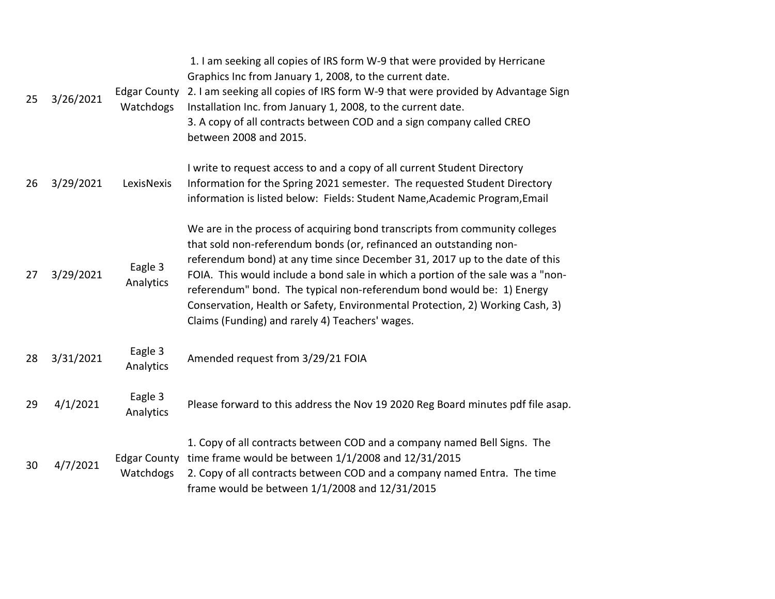| 25 | 3/26/2021 | <b>Edgar County</b><br>Watchdogs | 1. I am seeking all copies of IRS form W-9 that were provided by Herricane<br>Graphics Inc from January 1, 2008, to the current date.<br>2. I am seeking all copies of IRS form W-9 that were provided by Advantage Sign<br>Installation Inc. from January 1, 2008, to the current date.<br>3. A copy of all contracts between COD and a sign company called CREO<br>between 2008 and 2015.                                                                                                                                      |
|----|-----------|----------------------------------|----------------------------------------------------------------------------------------------------------------------------------------------------------------------------------------------------------------------------------------------------------------------------------------------------------------------------------------------------------------------------------------------------------------------------------------------------------------------------------------------------------------------------------|
| 26 | 3/29/2021 | LexisNexis                       | I write to request access to and a copy of all current Student Directory<br>Information for the Spring 2021 semester. The requested Student Directory<br>information is listed below: Fields: Student Name, Academic Program, Email                                                                                                                                                                                                                                                                                              |
| 27 | 3/29/2021 | Eagle 3<br>Analytics             | We are in the process of acquiring bond transcripts from community colleges<br>that sold non-referendum bonds (or, refinanced an outstanding non-<br>referendum bond) at any time since December 31, 2017 up to the date of this<br>FOIA. This would include a bond sale in which a portion of the sale was a "non-<br>referendum" bond. The typical non-referendum bond would be: 1) Energy<br>Conservation, Health or Safety, Environmental Protection, 2) Working Cash, 3)<br>Claims (Funding) and rarely 4) Teachers' wages. |
| 28 | 3/31/2021 | Eagle 3<br>Analytics             | Amended request from 3/29/21 FOIA                                                                                                                                                                                                                                                                                                                                                                                                                                                                                                |
| 29 | 4/1/2021  | Eagle 3<br>Analytics             | Please forward to this address the Nov 19 2020 Reg Board minutes pdf file asap.                                                                                                                                                                                                                                                                                                                                                                                                                                                  |
| 30 | 4/7/2021  | <b>Edgar County</b><br>Watchdogs | 1. Copy of all contracts between COD and a company named Bell Signs. The<br>time frame would be between $1/1/2008$ and $12/31/2015$<br>2. Copy of all contracts between COD and a company named Entra. The time<br>frame would be between 1/1/2008 and 12/31/2015                                                                                                                                                                                                                                                                |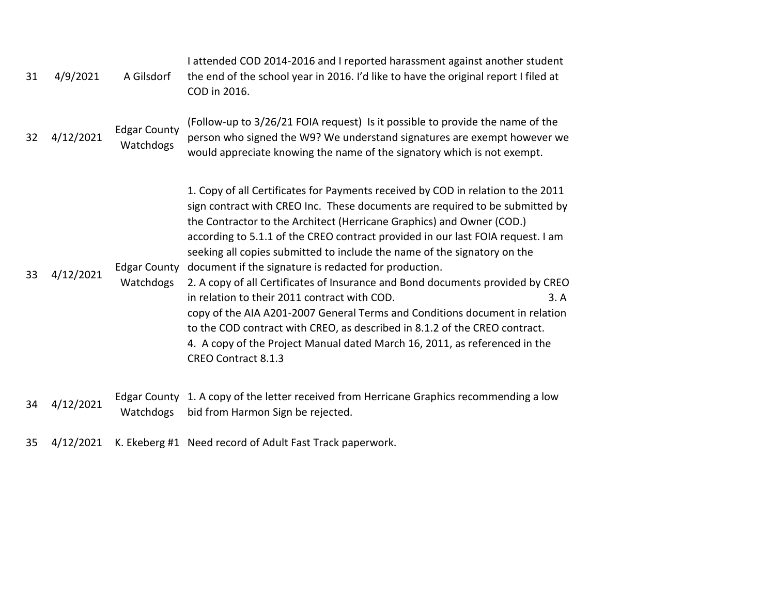| 31 | 4/9/2021  | A Gilsdorf                       | I attended COD 2014-2016 and I reported harassment against another student<br>the end of the school year in 2016. I'd like to have the original report I filed at<br>COD in 2016.                                                                                                                                                                                                                                                                                                                                                                                                                                                                                                                                                                                                                                                                                                    |
|----|-----------|----------------------------------|--------------------------------------------------------------------------------------------------------------------------------------------------------------------------------------------------------------------------------------------------------------------------------------------------------------------------------------------------------------------------------------------------------------------------------------------------------------------------------------------------------------------------------------------------------------------------------------------------------------------------------------------------------------------------------------------------------------------------------------------------------------------------------------------------------------------------------------------------------------------------------------|
| 32 | 4/12/2021 | <b>Edgar County</b><br>Watchdogs | (Follow-up to 3/26/21 FOIA request) Is it possible to provide the name of the<br>person who signed the W9? We understand signatures are exempt however we<br>would appreciate knowing the name of the signatory which is not exempt.                                                                                                                                                                                                                                                                                                                                                                                                                                                                                                                                                                                                                                                 |
| 33 | 4/12/2021 | <b>Edgar County</b><br>Watchdogs | 1. Copy of all Certificates for Payments received by COD in relation to the 2011<br>sign contract with CREO Inc. These documents are required to be submitted by<br>the Contractor to the Architect (Herricane Graphics) and Owner (COD.)<br>according to 5.1.1 of the CREO contract provided in our last FOIA request. I am<br>seeking all copies submitted to include the name of the signatory on the<br>document if the signature is redacted for production.<br>2. A copy of all Certificates of Insurance and Bond documents provided by CREO<br>in relation to their 2011 contract with COD.<br>3. A<br>copy of the AIA A201-2007 General Terms and Conditions document in relation<br>to the COD contract with CREO, as described in 8.1.2 of the CREO contract.<br>4. A copy of the Project Manual dated March 16, 2011, as referenced in the<br><b>CREO Contract 8.1.3</b> |
| 34 | 4/12/2021 | Watchdogs                        | Edgar County 1. A copy of the letter received from Herricane Graphics recommending a low<br>bid from Harmon Sign be rejected.                                                                                                                                                                                                                                                                                                                                                                                                                                                                                                                                                                                                                                                                                                                                                        |

35 4/12/2021 K. Ekeberg #1 Need record of Adult Fast Track paperwork.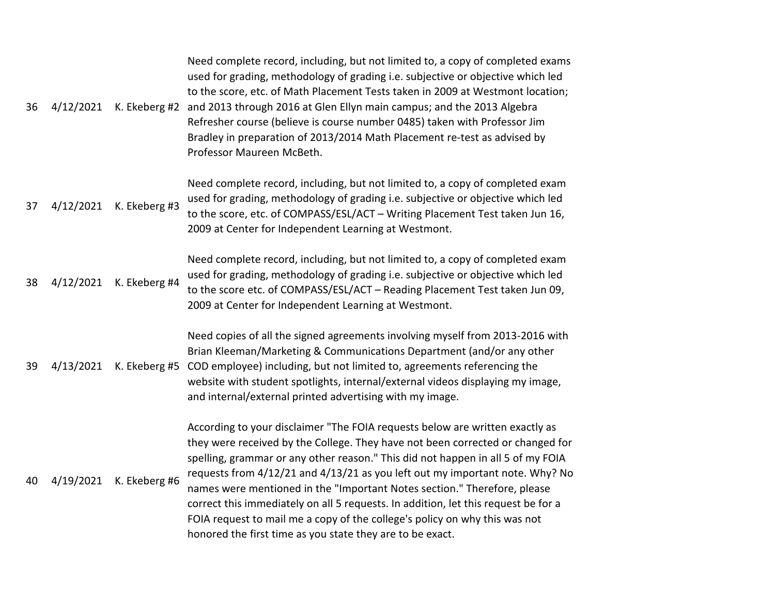| 36 | 4/12/2021 | K. Ekeberg #2 | Need complete record, including, but not limited to, a copy of completed exams<br>used for grading, methodology of grading i.e. subjective or objective which led<br>to the score, etc. of Math Placement Tests taken in 2009 at Westmont location;<br>and 2013 through 2016 at Glen Ellyn main campus; and the 2013 Algebra<br>Refresher course (believe is course number 0485) taken with Professor Jim<br>Bradley in preparation of 2013/2014 Math Placement re-test as advised by<br>Professor Maureen McBeth.                                                                                                                             |
|----|-----------|---------------|------------------------------------------------------------------------------------------------------------------------------------------------------------------------------------------------------------------------------------------------------------------------------------------------------------------------------------------------------------------------------------------------------------------------------------------------------------------------------------------------------------------------------------------------------------------------------------------------------------------------------------------------|
| 37 | 4/12/2021 | K. Ekeberg #3 | Need complete record, including, but not limited to, a copy of completed exam<br>used for grading, methodology of grading i.e. subjective or objective which led<br>to the score, etc. of COMPASS/ESL/ACT - Writing Placement Test taken Jun 16,<br>2009 at Center for Independent Learning at Westmont.                                                                                                                                                                                                                                                                                                                                       |
| 38 | 4/12/2021 | K. Ekeberg #4 | Need complete record, including, but not limited to, a copy of completed exam<br>used for grading, methodology of grading i.e. subjective or objective which led<br>to the score etc. of COMPASS/ESL/ACT - Reading Placement Test taken Jun 09,<br>2009 at Center for Independent Learning at Westmont.                                                                                                                                                                                                                                                                                                                                        |
| 39 | 4/13/2021 | K. Ekeberg #5 | Need copies of all the signed agreements involving myself from 2013-2016 with<br>Brian Kleeman/Marketing & Communications Department (and/or any other<br>COD employee) including, but not limited to, agreements referencing the<br>website with student spotlights, internal/external videos displaying my image,<br>and internal/external printed advertising with my image.                                                                                                                                                                                                                                                                |
| 40 | 4/19/2021 | K. Ekeberg #6 | According to your disclaimer "The FOIA requests below are written exactly as<br>they were received by the College. They have not been corrected or changed for<br>spelling, grammar or any other reason." This did not happen in all 5 of my FOIA<br>requests from 4/12/21 and 4/13/21 as you left out my important note. Why? No<br>names were mentioned in the "Important Notes section." Therefore, please<br>correct this immediately on all 5 requests. In addition, let this request be for a<br>FOIA request to mail me a copy of the college's policy on why this was not<br>honored the first time as you state they are to be exact. |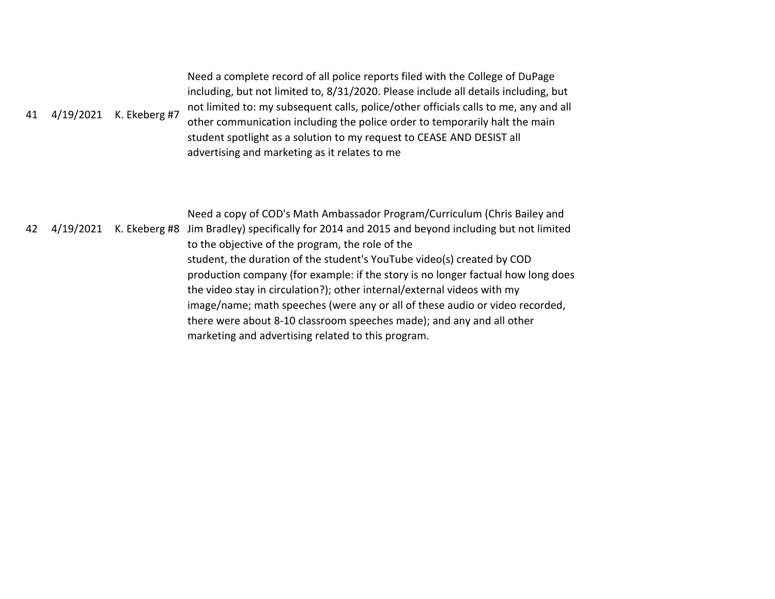| 41 | 4/19/2021 | K. Ekeberg #7 | Need a complete record of all police reports filed with the College of DuPage<br>including, but not limited to, 8/31/2020. Please include all details including, but<br>not limited to: my subsequent calls, police/other officials calls to me, any and all<br>other communication including the police order to temporarily halt the main<br>student spotlight as a solution to my request to CEASE AND DESIST all<br>advertising and marketing as it relates to me                                                                                                                                                                                                                   |
|----|-----------|---------------|-----------------------------------------------------------------------------------------------------------------------------------------------------------------------------------------------------------------------------------------------------------------------------------------------------------------------------------------------------------------------------------------------------------------------------------------------------------------------------------------------------------------------------------------------------------------------------------------------------------------------------------------------------------------------------------------|
| 42 | 4/19/2021 |               | Need a copy of COD's Math Ambassador Program/Curriculum (Chris Bailey and<br>K. Ekeberg #8 Jim Bradley) specifically for 2014 and 2015 and beyond including but not limited<br>to the objective of the program, the role of the<br>student, the duration of the student's YouTube video(s) created by COD<br>production company (for example: if the story is no longer factual how long does<br>the video stay in circulation?); other internal/external videos with my<br>image/name; math speeches (were any or all of these audio or video recorded,<br>there were about 8-10 classroom speeches made); and any and all other<br>marketing and advertising related to this program. |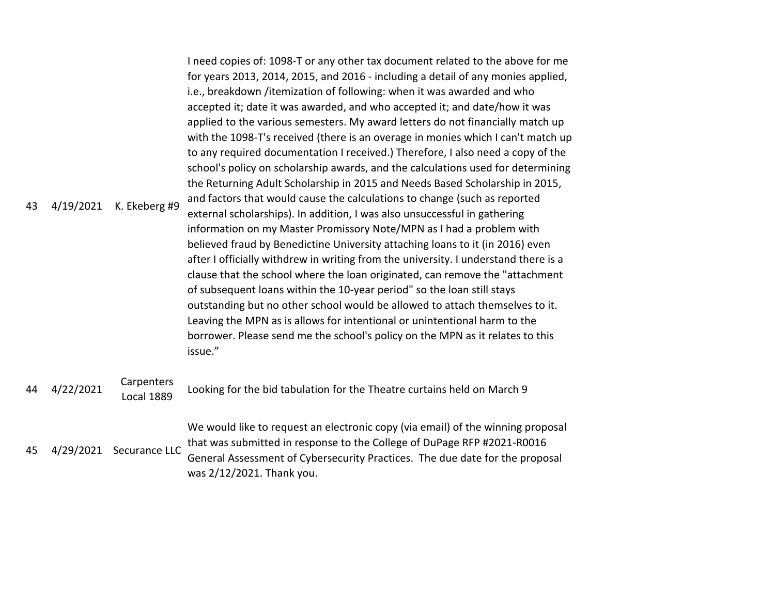| 43 | 4/19/2021 | K. Ekeberg #9                   | I need copies of: 1098-T or any other tax document related to the above for me<br>for years 2013, 2014, 2015, and 2016 - including a detail of any monies applied,<br>i.e., breakdown /itemization of following: when it was awarded and who<br>accepted it; date it was awarded, and who accepted it; and date/how it was<br>applied to the various semesters. My award letters do not financially match up<br>with the 1098-T's received (there is an overage in monies which I can't match up<br>to any required documentation I received.) Therefore, I also need a copy of the<br>school's policy on scholarship awards, and the calculations used for determining<br>the Returning Adult Scholarship in 2015 and Needs Based Scholarship in 2015,<br>and factors that would cause the calculations to change (such as reported<br>external scholarships). In addition, I was also unsuccessful in gathering<br>information on my Master Promissory Note/MPN as I had a problem with<br>believed fraud by Benedictine University attaching loans to it (in 2016) even<br>after I officially withdrew in writing from the university. I understand there is a<br>clause that the school where the loan originated, can remove the "attachment<br>of subsequent loans within the 10-year period" so the loan still stays<br>outstanding but no other school would be allowed to attach themselves to it.<br>Leaving the MPN as is allows for intentional or unintentional harm to the<br>borrower. Please send me the school's policy on the MPN as it relates to this<br>issue." |
|----|-----------|---------------------------------|--------------------------------------------------------------------------------------------------------------------------------------------------------------------------------------------------------------------------------------------------------------------------------------------------------------------------------------------------------------------------------------------------------------------------------------------------------------------------------------------------------------------------------------------------------------------------------------------------------------------------------------------------------------------------------------------------------------------------------------------------------------------------------------------------------------------------------------------------------------------------------------------------------------------------------------------------------------------------------------------------------------------------------------------------------------------------------------------------------------------------------------------------------------------------------------------------------------------------------------------------------------------------------------------------------------------------------------------------------------------------------------------------------------------------------------------------------------------------------------------------------------------------------------------------------------------------------------|
| 44 | 4/22/2021 | Carpenters<br><b>Local 1889</b> | Looking for the bid tabulation for the Theatre curtains held on March 9                                                                                                                                                                                                                                                                                                                                                                                                                                                                                                                                                                                                                                                                                                                                                                                                                                                                                                                                                                                                                                                                                                                                                                                                                                                                                                                                                                                                                                                                                                              |
| 45 | 4/29/2021 | Securance LLC                   | We would like to request an electronic copy (via email) of the winning proposal<br>that was submitted in response to the College of DuPage RFP #2021-R0016<br>General Assessment of Cybersecurity Practices. The due date for the proposal<br>was 2/12/2021. Thank you.                                                                                                                                                                                                                                                                                                                                                                                                                                                                                                                                                                                                                                                                                                                                                                                                                                                                                                                                                                                                                                                                                                                                                                                                                                                                                                              |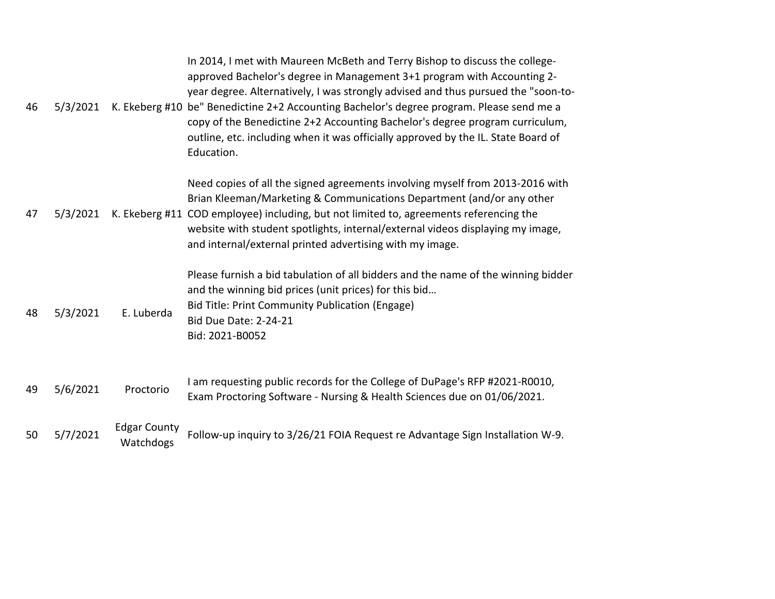| 46 | 5/3/2021 |                                  | In 2014, I met with Maureen McBeth and Terry Bishop to discuss the college-<br>approved Bachelor's degree in Management 3+1 program with Accounting 2-<br>year degree. Alternatively, I was strongly advised and thus pursued the "soon-to-<br>K. Ekeberg #10 be" Benedictine 2+2 Accounting Bachelor's degree program. Please send me a<br>copy of the Benedictine 2+2 Accounting Bachelor's degree program curriculum,<br>outline, etc. including when it was officially approved by the IL. State Board of<br>Education. |
|----|----------|----------------------------------|-----------------------------------------------------------------------------------------------------------------------------------------------------------------------------------------------------------------------------------------------------------------------------------------------------------------------------------------------------------------------------------------------------------------------------------------------------------------------------------------------------------------------------|
| 47 | 5/3/2021 |                                  | Need copies of all the signed agreements involving myself from 2013-2016 with<br>Brian Kleeman/Marketing & Communications Department (and/or any other<br>K. Ekeberg #11 COD employee) including, but not limited to, agreements referencing the<br>website with student spotlights, internal/external videos displaying my image,<br>and internal/external printed advertising with my image.                                                                                                                              |
| 48 | 5/3/2021 | E. Luberda                       | Please furnish a bid tabulation of all bidders and the name of the winning bidder<br>and the winning bid prices (unit prices) for this bid<br>Bid Title: Print Community Publication (Engage)<br><b>Bid Due Date: 2-24-21</b><br>Bid: 2021-B0052                                                                                                                                                                                                                                                                            |
| 49 | 5/6/2021 | Proctorio                        | I am requesting public records for the College of DuPage's RFP #2021-R0010,<br>Exam Proctoring Software - Nursing & Health Sciences due on 01/06/2021.                                                                                                                                                                                                                                                                                                                                                                      |
| 50 | 5/7/2021 | <b>Edgar County</b><br>Watchdogs | Follow-up inquiry to 3/26/21 FOIA Request re Advantage Sign Installation W-9.                                                                                                                                                                                                                                                                                                                                                                                                                                               |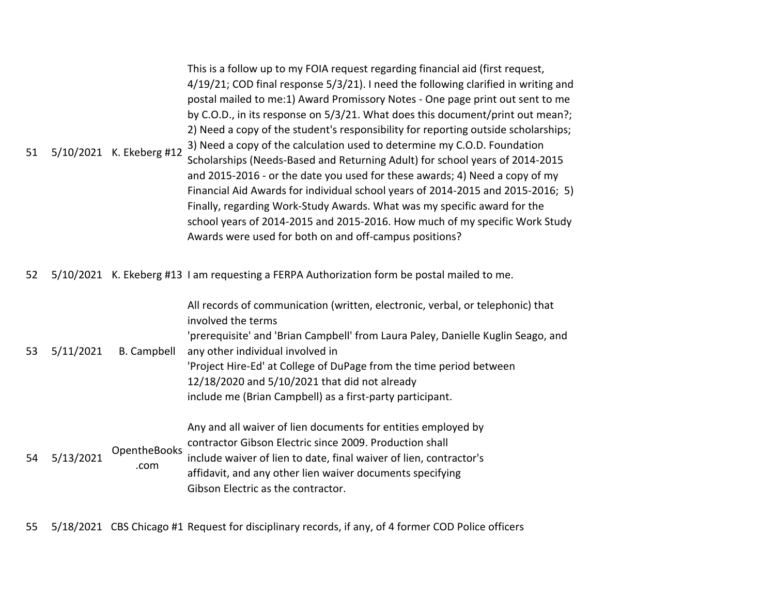|    |                          | This is a follow up to my FOIA request regarding financial aid (first request,     |
|----|--------------------------|------------------------------------------------------------------------------------|
|    | 5/10/2021 K. Ekeberg #12 | 4/19/21; COD final response 5/3/21). I need the following clarified in writing and |
|    |                          | postal mailed to me:1) Award Promissory Notes - One page print out sent to me      |
|    |                          | by C.O.D., in its response on 5/3/21. What does this document/print out mean?;     |
|    |                          | 2) Need a copy of the student's responsibility for reporting outside scholarships; |
|    |                          | 3) Need a copy of the calculation used to determine my C.O.D. Foundation           |
| 51 |                          | Scholarships (Needs-Based and Returning Adult) for school years of 2014-2015       |
|    |                          | and 2015-2016 - or the date you used for these awards; 4) Need a copy of my        |
|    |                          | Financial Aid Awards for individual school years of 2014-2015 and 2015-2016; 5)    |
|    |                          | Finally, regarding Work-Study Awards. What was my specific award for the           |
|    |                          | school years of 2014-2015 and 2015-2016. How much of my specific Work Study        |
|    |                          | Awards were used for both on and off-campus positions?                             |

52 5/10/2021 K. Ekeberg #13 I am requesting a FERPA Authorization form be postal mailed to me.

| 53 | 5/11/2021 | <b>B.</b> Campbell   | All records of communication (written, electronic, verbal, or telephonic) that<br>involved the terms<br>'prerequisite' and 'Brian Campbell' from Laura Paley, Danielle Kuglin Seago, and<br>any other individual involved in<br>'Project Hire-Ed' at College of DuPage from the time period between<br>12/18/2020 and 5/10/2021 that did not already<br>include me (Brian Campbell) as a first-party participant. |
|----|-----------|----------------------|-------------------------------------------------------------------------------------------------------------------------------------------------------------------------------------------------------------------------------------------------------------------------------------------------------------------------------------------------------------------------------------------------------------------|
| 54 | 5/13/2021 | OpentheBooks<br>.com | Any and all waiver of lien documents for entities employed by<br>contractor Gibson Electric since 2009. Production shall<br>include waiver of lien to date, final waiver of lien, contractor's<br>affidavit, and any other lien waiver documents specifying<br>Gibson Electric as the contractor.                                                                                                                 |

55 5/18/2021 CBS Chicago #1 Request for disciplinary records, if any, of 4 former COD Police officers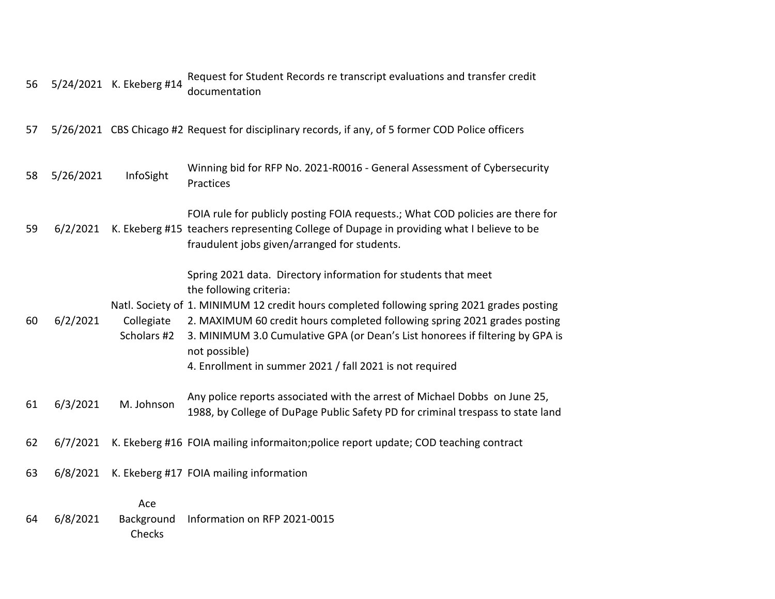| 56 |           | 5/24/2021 K. Ekeberg #14    | Request for Student Records re transcript evaluations and transfer credit<br>documentation                                                                                                                                                                                                                                                                                                                                         |
|----|-----------|-----------------------------|------------------------------------------------------------------------------------------------------------------------------------------------------------------------------------------------------------------------------------------------------------------------------------------------------------------------------------------------------------------------------------------------------------------------------------|
| 57 |           |                             | 5/26/2021 CBS Chicago #2 Request for disciplinary records, if any, of 5 former COD Police officers                                                                                                                                                                                                                                                                                                                                 |
| 58 | 5/26/2021 | InfoSight                   | Winning bid for RFP No. 2021-R0016 - General Assessment of Cybersecurity<br>Practices                                                                                                                                                                                                                                                                                                                                              |
| 59 | 6/2/2021  |                             | FOIA rule for publicly posting FOIA requests.; What COD policies are there for<br>K. Ekeberg #15 teachers representing College of Dupage in providing what I believe to be<br>fraudulent jobs given/arranged for students.                                                                                                                                                                                                         |
| 60 | 6/2/2021  | Collegiate<br>Scholars #2   | Spring 2021 data. Directory information for students that meet<br>the following criteria:<br>Natl. Society of 1. MINIMUM 12 credit hours completed following spring 2021 grades posting<br>2. MAXIMUM 60 credit hours completed following spring 2021 grades posting<br>3. MINIMUM 3.0 Cumulative GPA (or Dean's List honorees if filtering by GPA is<br>not possible)<br>4. Enrollment in summer 2021 / fall 2021 is not required |
| 61 | 6/3/2021  | M. Johnson                  | Any police reports associated with the arrest of Michael Dobbs on June 25,<br>1988, by College of DuPage Public Safety PD for criminal trespass to state land                                                                                                                                                                                                                                                                      |
| 62 | 6/7/2021  |                             | K. Ekeberg #16 FOIA mailing informaiton; police report update; COD teaching contract                                                                                                                                                                                                                                                                                                                                               |
| 63 | 6/8/2021  |                             | K. Ekeberg #17 FOIA mailing information                                                                                                                                                                                                                                                                                                                                                                                            |
| 64 | 6/8/2021  | Ace<br>Background<br>Checks | Information on RFP 2021-0015                                                                                                                                                                                                                                                                                                                                                                                                       |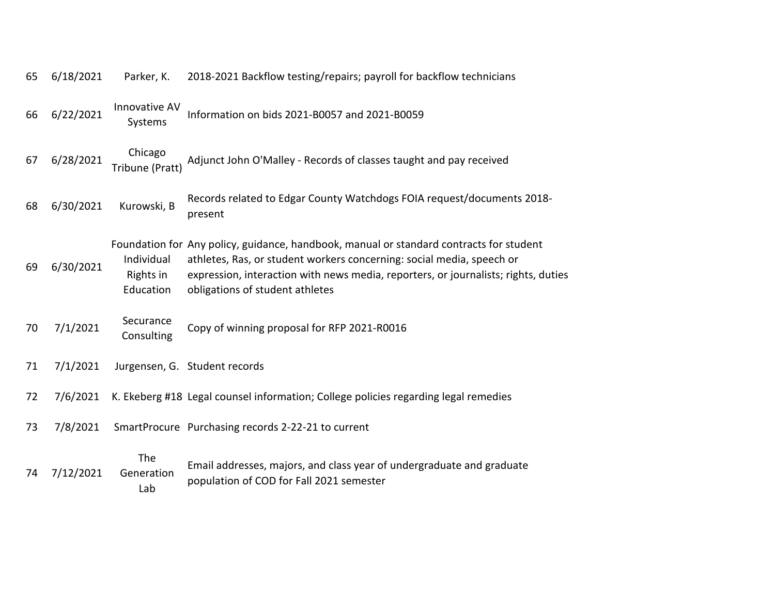| 65 | 6/18/2021 | Parker, K.                           | 2018-2021 Backflow testing/repairs; payroll for backflow technicians                                                                                                                                                                                                                      |
|----|-----------|--------------------------------------|-------------------------------------------------------------------------------------------------------------------------------------------------------------------------------------------------------------------------------------------------------------------------------------------|
| 66 | 6/22/2021 | Innovative AV<br>Systems             | Information on bids 2021-B0057 and 2021-B0059                                                                                                                                                                                                                                             |
| 67 | 6/28/2021 | Chicago<br>Tribune (Pratt)           | Adjunct John O'Malley - Records of classes taught and pay received                                                                                                                                                                                                                        |
| 68 | 6/30/2021 | Kurowski, B                          | Records related to Edgar County Watchdogs FOIA request/documents 2018-<br>present                                                                                                                                                                                                         |
| 69 | 6/30/2021 | Individual<br>Rights in<br>Education | Foundation for Any policy, guidance, handbook, manual or standard contracts for student<br>athletes, Ras, or student workers concerning: social media, speech or<br>expression, interaction with news media, reporters, or journalists; rights, duties<br>obligations of student athletes |
| 70 | 7/1/2021  | Securance<br>Consulting              | Copy of winning proposal for RFP 2021-R0016                                                                                                                                                                                                                                               |
| 71 | 7/1/2021  |                                      | Jurgensen, G. Student records                                                                                                                                                                                                                                                             |
| 72 | 7/6/2021  |                                      | K. Ekeberg #18 Legal counsel information; College policies regarding legal remedies                                                                                                                                                                                                       |
| 73 | 7/8/2021  |                                      | SmartProcure Purchasing records 2-22-21 to current                                                                                                                                                                                                                                        |
| 74 | 7/12/2021 | The<br>Generation<br>Lab             | Email addresses, majors, and class year of undergraduate and graduate<br>population of COD for Fall 2021 semester                                                                                                                                                                         |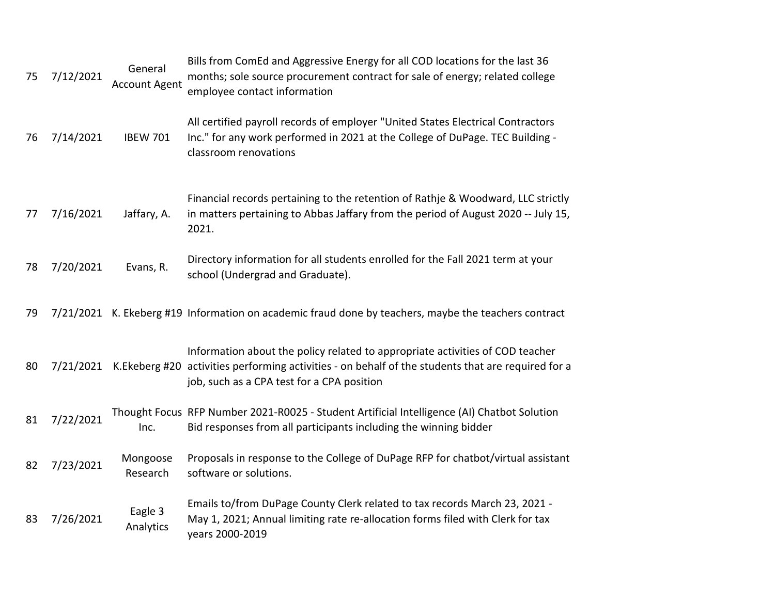| 75 | 7/12/2021 | General<br><b>Account Agent</b> | Bills from ComEd and Aggressive Energy for all COD locations for the last 36<br>months; sole source procurement contract for sale of energy; related college<br>employee contact information                                                 |
|----|-----------|---------------------------------|----------------------------------------------------------------------------------------------------------------------------------------------------------------------------------------------------------------------------------------------|
| 76 | 7/14/2021 | <b>IBEW 701</b>                 | All certified payroll records of employer "United States Electrical Contractors<br>Inc." for any work performed in 2021 at the College of DuPage. TEC Building -<br>classroom renovations                                                    |
| 77 | 7/16/2021 | Jaffary, A.                     | Financial records pertaining to the retention of Rathje & Woodward, LLC strictly<br>in matters pertaining to Abbas Jaffary from the period of August 2020 -- July 15,<br>2021.                                                               |
| 78 | 7/20/2021 | Evans, R.                       | Directory information for all students enrolled for the Fall 2021 term at your<br>school (Undergrad and Graduate).                                                                                                                           |
| 79 |           |                                 | 7/21/2021 K. Ekeberg #19 Information on academic fraud done by teachers, maybe the teachers contract                                                                                                                                         |
| 80 |           |                                 | Information about the policy related to appropriate activities of COD teacher<br>7/21/2021 K. Ekeberg #20 activities performing activities - on behalf of the students that are required for a<br>job, such as a CPA test for a CPA position |
| 81 | 7/22/2021 | Inc.                            | Thought Focus RFP Number 2021-R0025 - Student Artificial Intelligence (AI) Chatbot Solution<br>Bid responses from all participants including the winning bidder                                                                              |
| 82 | 7/23/2021 | Mongoose<br>Research            | Proposals in response to the College of DuPage RFP for chatbot/virtual assistant<br>software or solutions.                                                                                                                                   |
| 83 | 7/26/2021 | Eagle 3<br>Analytics            | Emails to/from DuPage County Clerk related to tax records March 23, 2021 -<br>May 1, 2021; Annual limiting rate re-allocation forms filed with Clerk for tax<br>years 2000-2019                                                              |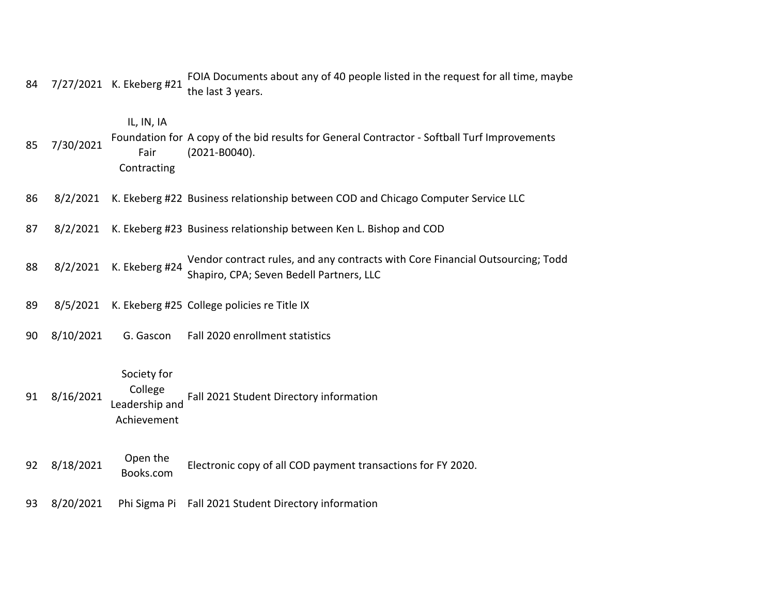| 84 |           | 7/27/2021 K. Ekeberg #21                                | FOIA Documents about any of 40 people listed in the request for all time, maybe<br>the last 3 years.                       |
|----|-----------|---------------------------------------------------------|----------------------------------------------------------------------------------------------------------------------------|
| 85 | 7/30/2021 | IL, IN, IA<br>Fair<br>Contracting                       | Foundation for A copy of the bid results for General Contractor - Softball Turf Improvements<br>$(2021 - B0040).$          |
| 86 | 8/2/2021  |                                                         | K. Ekeberg #22 Business relationship between COD and Chicago Computer Service LLC                                          |
| 87 | 8/2/2021  |                                                         | K. Ekeberg #23 Business relationship between Ken L. Bishop and COD                                                         |
| 88 | 8/2/2021  | K. Ekeberg #24                                          | Vendor contract rules, and any contracts with Core Financial Outsourcing; Todd<br>Shapiro, CPA; Seven Bedell Partners, LLC |
| 89 | 8/5/2021  |                                                         | K. Ekeberg #25 College policies re Title IX                                                                                |
| 90 | 8/10/2021 | G. Gascon                                               | Fall 2020 enrollment statistics                                                                                            |
| 91 | 8/16/2021 | Society for<br>College<br>Leadership and<br>Achievement | Fall 2021 Student Directory information                                                                                    |
| 92 | 8/18/2021 | Open the<br>Books.com                                   | Electronic copy of all COD payment transactions for FY 2020.                                                               |
| 93 | 8/20/2021 |                                                         | Phi Sigma Pi Fall 2021 Student Directory information                                                                       |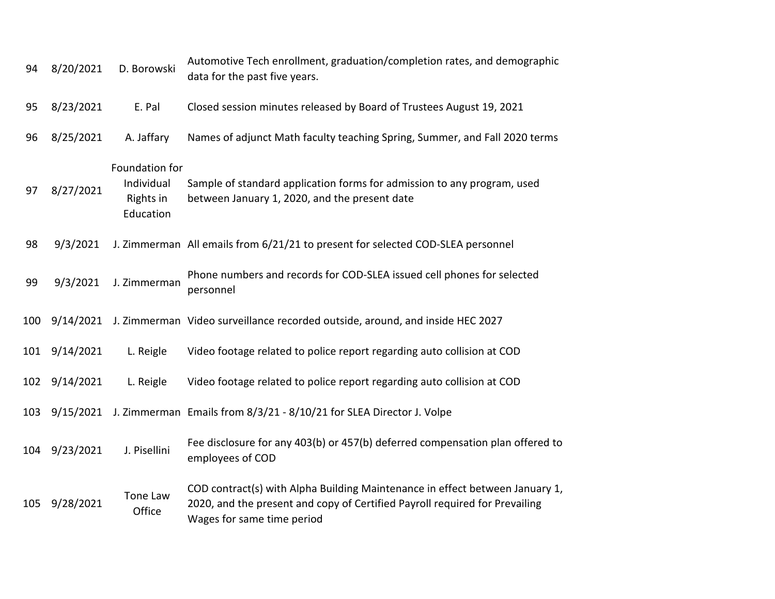| 94  | 8/20/2021 | D. Borowski                                            | Automotive Tech enrollment, graduation/completion rates, and demographic<br>data for the past five years.                                                                                 |
|-----|-----------|--------------------------------------------------------|-------------------------------------------------------------------------------------------------------------------------------------------------------------------------------------------|
| 95  | 8/23/2021 | E. Pal                                                 | Closed session minutes released by Board of Trustees August 19, 2021                                                                                                                      |
| 96  | 8/25/2021 | A. Jaffary                                             | Names of adjunct Math faculty teaching Spring, Summer, and Fall 2020 terms                                                                                                                |
| 97  | 8/27/2021 | Foundation for<br>Individual<br>Rights in<br>Education | Sample of standard application forms for admission to any program, used<br>between January 1, 2020, and the present date                                                                  |
| 98  | 9/3/2021  |                                                        | J. Zimmerman All emails from 6/21/21 to present for selected COD-SLEA personnel                                                                                                           |
| 99  | 9/3/2021  | J. Zimmerman                                           | Phone numbers and records for COD-SLEA issued cell phones for selected<br>personnel                                                                                                       |
| 100 |           |                                                        | 9/14/2021 J. Zimmerman Video surveillance recorded outside, around, and inside HEC 2027                                                                                                   |
| 101 | 9/14/2021 | L. Reigle                                              | Video footage related to police report regarding auto collision at COD                                                                                                                    |
| 102 | 9/14/2021 | L. Reigle                                              | Video footage related to police report regarding auto collision at COD                                                                                                                    |
| 103 | 9/15/2021 |                                                        | J. Zimmerman Emails from 8/3/21 - 8/10/21 for SLEA Director J. Volpe                                                                                                                      |
| 104 | 9/23/2021 | J. Pisellini                                           | Fee disclosure for any 403(b) or 457(b) deferred compensation plan offered to<br>employees of COD                                                                                         |
| 105 | 9/28/2021 | Tone Law<br>Office                                     | COD contract(s) with Alpha Building Maintenance in effect between January 1,<br>2020, and the present and copy of Certified Payroll required for Prevailing<br>Wages for same time period |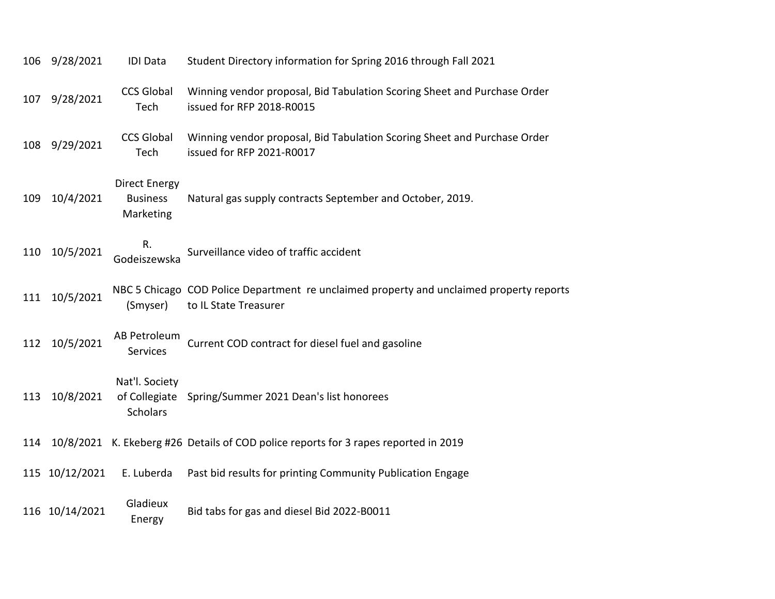| 106 | 9/28/2021      | <b>IDI</b> Data                                      | Student Directory information for Spring 2016 through Fall 2021                                                   |
|-----|----------------|------------------------------------------------------|-------------------------------------------------------------------------------------------------------------------|
| 107 | 9/28/2021      | <b>CCS Global</b><br>Tech                            | Winning vendor proposal, Bid Tabulation Scoring Sheet and Purchase Order<br>issued for RFP 2018-R0015             |
| 108 | 9/29/2021      | <b>CCS Global</b><br>Tech                            | Winning vendor proposal, Bid Tabulation Scoring Sheet and Purchase Order<br>issued for RFP 2021-R0017             |
| 109 | 10/4/2021      | <b>Direct Energy</b><br><b>Business</b><br>Marketing | Natural gas supply contracts September and October, 2019.                                                         |
| 110 | 10/5/2021      | R.<br>Godeiszewska                                   | Surveillance video of traffic accident                                                                            |
| 111 | 10/5/2021      | (Smyser)                                             | NBC 5 Chicago COD Police Department re unclaimed property and unclaimed property reports<br>to IL State Treasurer |
| 112 | 10/5/2021      | AB Petroleum<br><b>Services</b>                      | Current COD contract for diesel fuel and gasoline                                                                 |
| 113 | 10/8/2021      | Nat'l. Society<br><b>Scholars</b>                    | of Collegiate Spring/Summer 2021 Dean's list honorees                                                             |
| 114 |                |                                                      | 10/8/2021 K. Ekeberg #26 Details of COD police reports for 3 rapes reported in 2019                               |
|     | 115 10/12/2021 | E. Luberda                                           | Past bid results for printing Community Publication Engage                                                        |
|     | 116 10/14/2021 | Gladieux<br>Energy                                   | Bid tabs for gas and diesel Bid 2022-B0011                                                                        |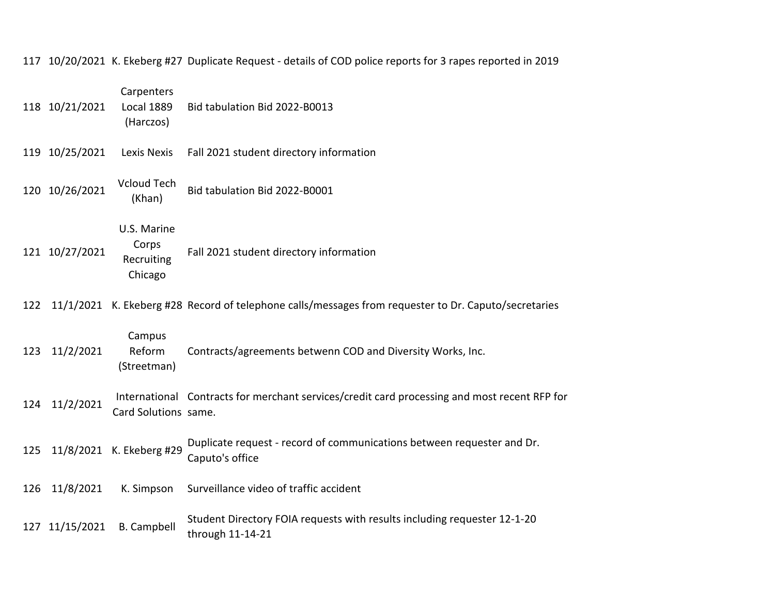117 10/20/2021 K. Ekeberg #27 Duplicate Request - details of COD police reports for 3 rapes reported in 2019

|     | 118 10/21/2021 | Carpenters<br><b>Local 1889</b><br>(Harczos)  | Bid tabulation Bid 2022-B0013                                                                        |
|-----|----------------|-----------------------------------------------|------------------------------------------------------------------------------------------------------|
|     | 119 10/25/2021 | Lexis Nexis                                   | Fall 2021 student directory information                                                              |
|     | 120 10/26/2021 | <b>Vcloud Tech</b><br>(Khan)                  | Bid tabulation Bid 2022-B0001                                                                        |
|     | 121 10/27/2021 | U.S. Marine<br>Corps<br>Recruiting<br>Chicago | Fall 2021 student directory information                                                              |
| 122 |                |                                               | 11/1/2021 K. Ekeberg #28 Record of telephone calls/messages from requester to Dr. Caputo/secretaries |
| 123 | 11/2/2021      | Campus<br>Reform<br>(Streetman)               | Contracts/agreements betwenn COD and Diversity Works, Inc.                                           |
| 124 | 11/2/2021      | Card Solutions same.                          | International Contracts for merchant services/credit card processing and most recent RFP for         |
| 125 |                | 11/8/2021 K. Ekeberg #29                      | Duplicate request - record of communications between requester and Dr.<br>Caputo's office            |
| 126 | 11/8/2021      | K. Simpson                                    | Surveillance video of traffic accident                                                               |
| 127 | 11/15/2021     | <b>B.</b> Campbell                            | Student Directory FOIA requests with results including requester 12-1-20<br>through 11-14-21         |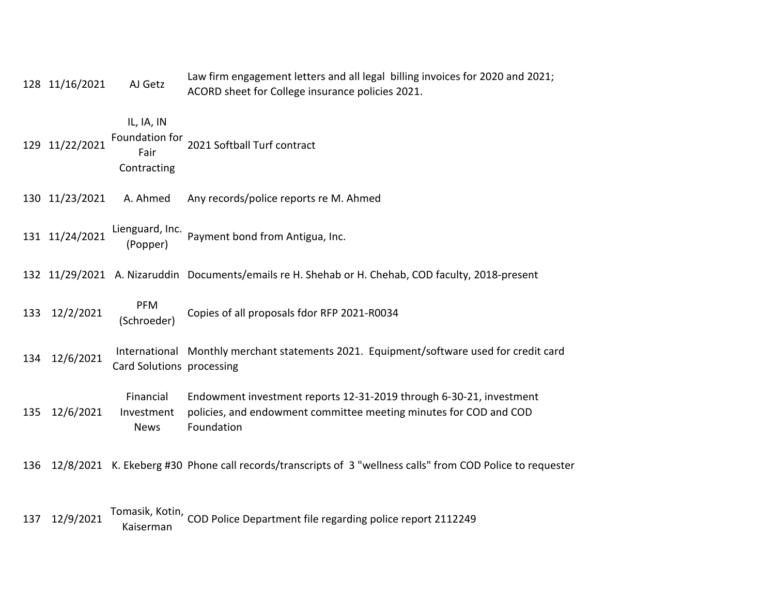|     | 128 11/16/2021 | AJ Getz                                | Law firm engagement letters and all legal billing invoices for 2020 and 2021;<br>ACORD sheet for College insurance policies 2021.                      |
|-----|----------------|----------------------------------------|--------------------------------------------------------------------------------------------------------------------------------------------------------|
|     | 129 11/22/2021 | IL, IA, IN<br>Fair<br>Contracting      | Foundation for 2021 Softball Turf contract                                                                                                             |
|     | 130 11/23/2021 | A. Ahmed                               | Any records/police reports re M. Ahmed                                                                                                                 |
|     | 131 11/24/2021 | (Popper)                               | Lienguard, Inc. Payment bond from Antigua, Inc.                                                                                                        |
|     |                |                                        | 132 11/29/2021 A. Nizaruddin Documents/emails re H. Shehab or H. Chehab, COD faculty, 2018-present                                                     |
| 133 | 12/2/2021      | <b>PFM</b><br>(Schroeder)              | Copies of all proposals fdor RFP 2021-R0034                                                                                                            |
| 134 | 12/6/2021      | Card Solutions processing              | International Monthly merchant statements 2021. Equipment/software used for credit card                                                                |
| 135 | 12/6/2021      | Financial<br>Investment<br><b>News</b> | Endowment investment reports 12-31-2019 through 6-30-21, investment<br>policies, and endowment committee meeting minutes for COD and COD<br>Foundation |
| 136 |                |                                        | 12/8/2021 K. Ekeberg #30 Phone call records/transcripts of 3 "wellness calls" from COD Police to requester                                             |
| 137 | 12/9/2021      | Kaiserman                              | Tomasik, Kotin, COD Police Department file regarding police report 2112249                                                                             |